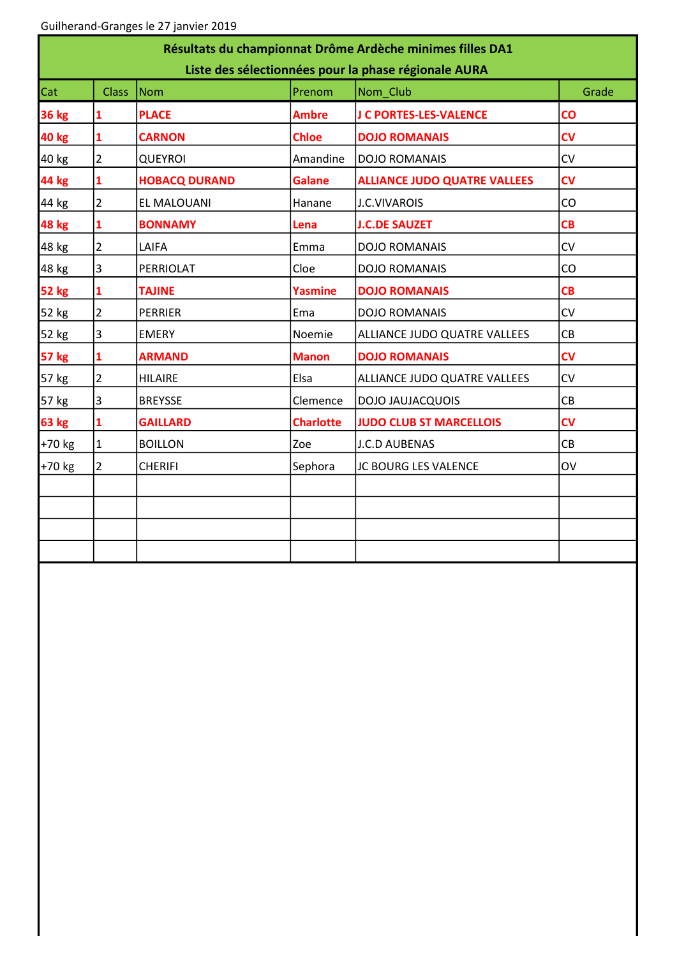| Résultats du championnat Drôme Ardèche minimes filles DA1<br>Liste des sélectionnées pour la phase régionale AURA |                |                      |                  |                                     |                |  |  |  |  |
|-------------------------------------------------------------------------------------------------------------------|----------------|----------------------|------------------|-------------------------------------|----------------|--|--|--|--|
| Cat                                                                                                               | <b>Class</b>   | <b>Nom</b>           | Prenom           | Nom_Club                            | Grade          |  |  |  |  |
| <b>36 kg</b>                                                                                                      |                | <b>PLACE</b>         | <b>Ambre</b>     | J C PORTES-LES-VALENCE              | $\mathbf{CO}$  |  |  |  |  |
| <b>40 kg</b>                                                                                                      | 1              | <b>CARNON</b>        | <b>Chloe</b>     | <b>DOJO ROMANAIS</b>                | c <sub>V</sub> |  |  |  |  |
| 40 kg                                                                                                             | 2              | <b>QUEYROI</b>       | Amandine         | <b>DOJO ROMANAIS</b>                | CV             |  |  |  |  |
| 44 kg                                                                                                             | 1              | <b>HOBACQ DURAND</b> | <b>Galane</b>    | <b>ALLIANCE JUDO QUATRE VALLEES</b> | CV             |  |  |  |  |
| 44 kg                                                                                                             | 2              | EL MALOUANI          | Hanane           | <b>J.C.VIVAROIS</b>                 | CO             |  |  |  |  |
| <b>48 kg</b>                                                                                                      | 1              | <b>BONNAMY</b>       | Lena             | <b>J.C.DE SAUZET</b>                | CB             |  |  |  |  |
| 48 kg                                                                                                             | $\overline{2}$ | LAIFA                | Emma             | <b>DOJO ROMANAIS</b>                | CV             |  |  |  |  |
| 48 kg                                                                                                             | $\overline{3}$ | PERRIOLAT            | Cloe             | <b>DOJO ROMANAIS</b>                | CO             |  |  |  |  |
| <b>52 kg</b>                                                                                                      | 1              | <b>TAJINE</b>        | <b>Yasmine</b>   | <b>DOJO ROMANAIS</b>                | CB             |  |  |  |  |
| 52 kg                                                                                                             | $\overline{2}$ | <b>PERRIER</b>       | Ema              | <b>DOJO ROMANAIS</b>                | CV             |  |  |  |  |
| 52 kg                                                                                                             | 3              | <b>EMERY</b>         | Noemie           | ALLIANCE JUDO QUATRE VALLEES        | CB             |  |  |  |  |
| <b>57 kg</b>                                                                                                      | 1              | <b>ARMAND</b>        | <b>Manon</b>     | <b>DOJO ROMANAIS</b>                | c <sub>V</sub> |  |  |  |  |
| 57 kg                                                                                                             | $\overline{2}$ | <b>HILAIRE</b>       | Elsa             | ALLIANCE JUDO QUATRE VALLEES        | CV             |  |  |  |  |
| 57 kg                                                                                                             | $\overline{3}$ | <b>BREYSSE</b>       | Clemence         | DOJO JAUJACQUOIS                    | CB             |  |  |  |  |
| <b>63 kg</b>                                                                                                      | 1              | <b>GAILLARD</b>      | <b>Charlotte</b> | <b>JUDO CLUB ST MARCELLOIS</b>      | c <sub>V</sub> |  |  |  |  |
| +70 kg                                                                                                            | 1              | <b>BOILLON</b>       | Zoe              | <b>J.C.D AUBENAS</b>                | CB             |  |  |  |  |
| +70 kg                                                                                                            | $\overline{2}$ | <b>CHERIFI</b>       | Sephora          | JC BOURG LES VALENCE                | OV             |  |  |  |  |
|                                                                                                                   |                |                      |                  |                                     |                |  |  |  |  |
|                                                                                                                   |                |                      |                  |                                     |                |  |  |  |  |
|                                                                                                                   |                |                      |                  |                                     |                |  |  |  |  |
|                                                                                                                   |                |                      |                  |                                     |                |  |  |  |  |